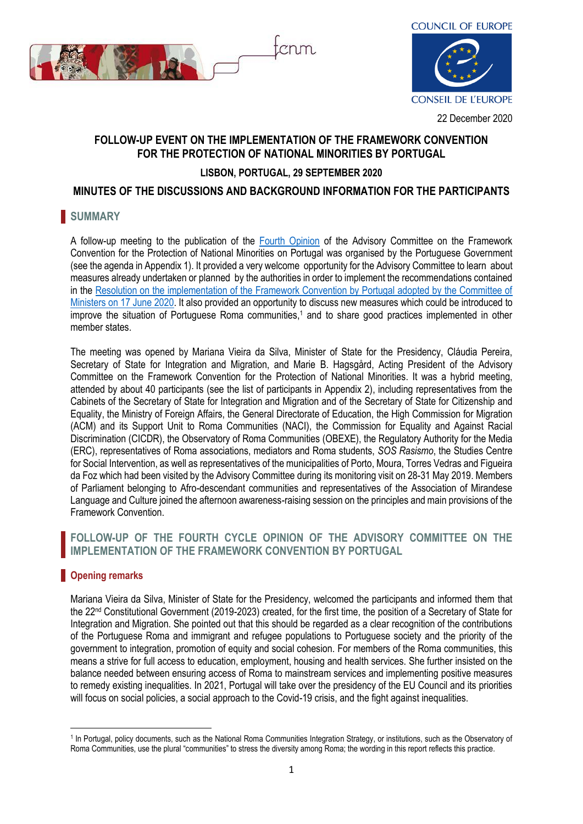



# **FOLLOW-UP EVENT ON THE IMPLEMENTATION OF THE FRAMEWORK CONVENTION FOR THE PROTECTION OF NATIONAL MINORITIES BY PORTUGAL**

# **LISBON, PORTUGAL, 29 SEPTEMBER 2020**

# **MINUTES OF THE DISCUSSIONS AND BACKGROUND INFORMATION FOR THE PARTICIPANTS**

# **SUMMARY**

A follow-up meeting to the publication of the [Fourth Opinion](https://rm.coe.int/4th-op-portugal-en/1680998662) of the Advisory Committee on the Framework Convention for the Protection of National Minorities on Portugal was organised by the Portuguese Government (see the agenda in Appendix 1). It provided a very welcome opportunity for the Advisory Committee to learn about measures already undertaken or planned by the authorities in order to implement the recommendations contained in the [Resolution on the implementation of the Framework Convention by Portugal adopted by the Committee of](https://search.coe.int/cm/pages/result_details.aspx?objectid=09000016809ebbb3)  [Ministers on 17 June 2020.](https://search.coe.int/cm/pages/result_details.aspx?objectid=09000016809ebbb3) It also provided an opportunity to discuss new measures which could be introduced to improve the situation of Portuguese Roma communities,<sup>1</sup> and to share good practices implemented in other member states.

The meeting was opened by Mariana Vieira da Silva, Minister of State for the Presidency, Cláudia Pereira, Secretary of State for Integration and Migration, and Marie B. Hagsgård, Acting President of the Advisory Committee on the Framework Convention for the Protection of National Minorities. It was a hybrid meeting, attended by about 40 participants (see the list of participants in Appendix 2), including representatives from the Cabinets of the Secretary of State for Integration and Migration and of the Secretary of State for Citizenship and Equality, the Ministry of Foreign Affairs, the General Directorate of Education, the High Commission for Migration (ACM) and its Support Unit to Roma Communities (NACI), the Commission for Equality and Against Racial Discrimination (CICDR), the Observatory of Roma Communities (OBEXE), the Regulatory Authority for the Media (ERC), representatives of Roma associations, mediators and Roma students, *SOS Rasismo*, the Studies Centre for Social Intervention, as well as representatives of the municipalities of Porto, Moura, Torres Vedras and Figueira da Foz which had been visited by the Advisory Committee during its monitoring visit on 28-31 May 2019. Members of Parliament belonging to Afro-descendant communities and representatives of the Association of Mirandese Language and Culture joined the afternoon awareness-raising session on the principles and main provisions of the Framework Convention.

# **FOLLOW-UP OF THE FOURTH CYCLE OPINION OF THE ADVISORY COMMITTEE ON THE IMPLEMENTATION OF THE FRAMEWORK CONVENTION BY PORTUGAL**

# **Opening remarks**

1

Mariana Vieira da Silva, Minister of State for the Presidency, welcomed the participants and informed them that the 22nd Constitutional Government (2019-2023) created, for the first time, the position of a Secretary of State for Integration and Migration. She pointed out that this should be regarded as a clear recognition of the contributions of the Portuguese Roma and immigrant and refugee populations to Portuguese society and the priority of the government to integration, promotion of equity and social cohesion. For members of the Roma communities, this means a strive for full access to education, employment, housing and health services. She further insisted on the balance needed between ensuring access of Roma to mainstream services and implementing positive measures to remedy existing inequalities. In 2021, Portugal will take over the presidency of the EU Council and its priorities will focus on social policies, a social approach to the Covid-19 crisis, and the fight against inequalities.

<sup>&</sup>lt;sup>1</sup> In Portugal, policy documents, such as the National Roma Communities Integration Strategy, or institutions, such as the Observatory of Roma Communities, use the plural "communities" to stress the diversity among Roma; the wording in this report reflects this practice.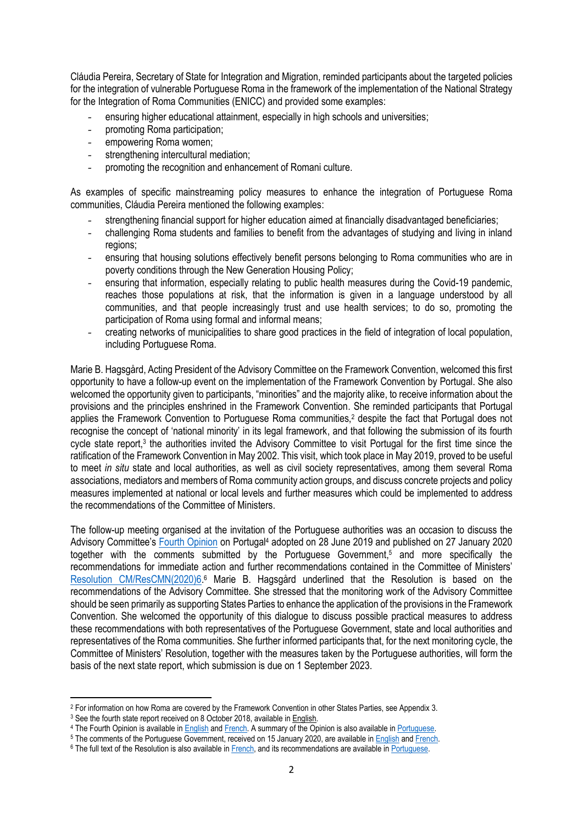Cláudia Pereira, Secretary of State for Integration and Migration, reminded participants about the targeted policies for the integration of vulnerable Portuguese Roma in the framework of the implementation of the National Strategy for the Integration of Roma Communities (ENICC) and provided some examples:

- ensuring higher educational attainment, especially in high schools and universities;
- promoting Roma participation;
- empowering Roma women;
- strengthening intercultural mediation;
- promoting the recognition and enhancement of Romani culture.

As examples of specific mainstreaming policy measures to enhance the integration of Portuguese Roma communities, Cláudia Pereira mentioned the following examples:

- strengthening financial support for higher education aimed at financially disadvantaged beneficiaries;
- challenging Roma students and families to benefit from the advantages of studying and living in inland regions;
- ensuring that housing solutions effectively benefit persons belonging to Roma communities who are in poverty conditions through the New Generation Housing Policy;
- ensuring that information, especially relating to public health measures during the Covid-19 pandemic, reaches those populations at risk, that the information is given in a language understood by all communities, and that people increasingly trust and use health services; to do so, promoting the participation of Roma using formal and informal means;
- creating networks of municipalities to share good practices in the field of integration of local population, including Portuguese Roma.

Marie B. Hagsgård, Acting President of the Advisory Committee on the Framework Convention, welcomed this first opportunity to have a follow-up event on the implementation of the Framework Convention by Portugal. She also welcomed the opportunity given to participants, "minorities" and the majority alike, to receive information about the provisions and the principles enshrined in the Framework Convention. She reminded participants that Portugal applies the Framework Convention to Portuguese Roma communities,<sup>2</sup> despite the fact that Portugal does not recognise the concept of 'national minority' in its legal framework, and that following the submission of its fourth cycle state report,<sup>3</sup> the authorities invited the Advisory Committee to visit Portugal for the first time since the ratification of the Framework Convention in May 2002. This visit, which took place in May 2019, proved to be useful to meet *in situ* state and local authorities, as well as civil society representatives, among them several Roma associations, mediators and members of Roma community action groups, and discuss concrete projects and policy measures implemented at national or local levels and further measures which could be implemented to address the recommendations of the Committee of Ministers.

The follow-up meeting organised at the invitation of the Portuguese authorities was an occasion to discuss the Advisory Committee's [Fourth Opinion](https://rm.coe.int/4th-op-portugal-en/1680998662) on Portugal<sup>4</sup> adopted on 28 June 2019 and published on 27 January 2020 together with the comments submitted by the Portuguese Government, <sup>5</sup> and more specifically the recommendations for immediate action and further recommendations contained in the Committee of Ministers' Resolution [CM/ResCMN\(2020\)6.](https://search.coe.int/cm/pages/result_details.aspx?objectid=09000016809ebbb3)<sup>6</sup> Marie B. Hagsgård underlined that the Resolution is based on the recommendations of the Advisory Committee. She stressed that the monitoring work of the Advisory Committee should be seen primarily as supporting States Parties to enhance the application of the provisions in the Framework Convention. She welcomed the opportunity of this dialogue to discuss possible practical measures to address these recommendations with both representatives of the Portuguese Government, state and local authorities and representatives of the Roma communities. She further informed participants that, for the next monitoring cycle, the Committee of Ministers' Resolution, together with the measures taken by the Portuguese authorities, will form the basis of the next state report, which submission is due on 1 September 2023.

 $2$  For information on how Roma are covered by the Framework Convention in other States Parties, see Appendix 3.

<sup>&</sup>lt;sup>3</sup> See the fourth state report received on 8 October 2018, available in [English.](https://rm.coe.int/4th-sr-portugal-en/16808e563a)

<sup>4</sup> The Fourth Opinion is available in [English](https://rm.coe.int/4th-op-portugal-en/1680998662) and [French.](https://rm.coe.int/4th-op-portugal-fr/1680998663) A summary of the Opinion is also available in [Portuguese.](https://rm.coe.int/4th-op-portugal-po/16809ed0ba)

<sup>&</sup>lt;sup>5</sup> The comments of the Portuguese Government, received on 15 January 2020, are available in [English](https://rm.coe.int/4th-com-portugal-en/1680999290) and [French.](https://rm.coe.int/4th-com-portugal-fr/16809f1250)

<sup>&</sup>lt;sup>6</sup> The full text of the Resolution is also available in [French,](https://search.coe.int/cm/pages/result_details.aspx?ObjectId=09000016809ebbb0) and its recommendations are available in [Portuguese.](https://rm.coe.int/4th-cycle-resolution-recommendations-po/16809f422e)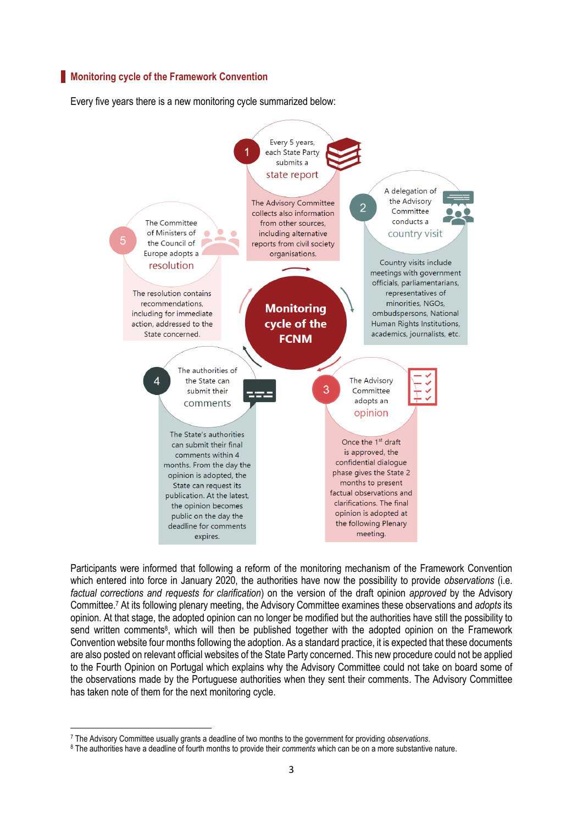#### **Monitoring cycle of the Framework Convention**

Every five years there is a new monitoring cycle summarized below:



Participants were informed that following a reform of the monitoring mechanism of the Framework Convention which entered into force in January 2020, the authorities have now the possibility to provide *observations* (i.e. *factual corrections and requests for clarification*) on the version of the draft opinion *approved* by the Advisory Committee. <sup>7</sup> At its following plenary meeting, the Advisory Committee examines these observations and *adopts* its opinion. At that stage, the adopted opinion can no longer be modified but the authorities have still the possibility to send written comments<sup>8</sup>, which will then be published together with the adopted opinion on the Framework Convention website four months following the adoption. As a standard practice, it is expected that these documents are also posted on relevant official websites of the State Party concerned. This new procedure could not be applied to the Fourth Opinion on Portugal which explains why the Advisory Committee could not take on board some of the observations made by the Portuguese authorities when they sent their comments. The Advisory Committee has taken note of them for the next monitoring cycle.

1

<sup>7</sup> The Advisory Committee usually grants a deadline of two months to the government for providing *observations*.

<sup>8</sup> The authorities have a deadline of fourth months to provide their *comments* which can be on a more substantive nature.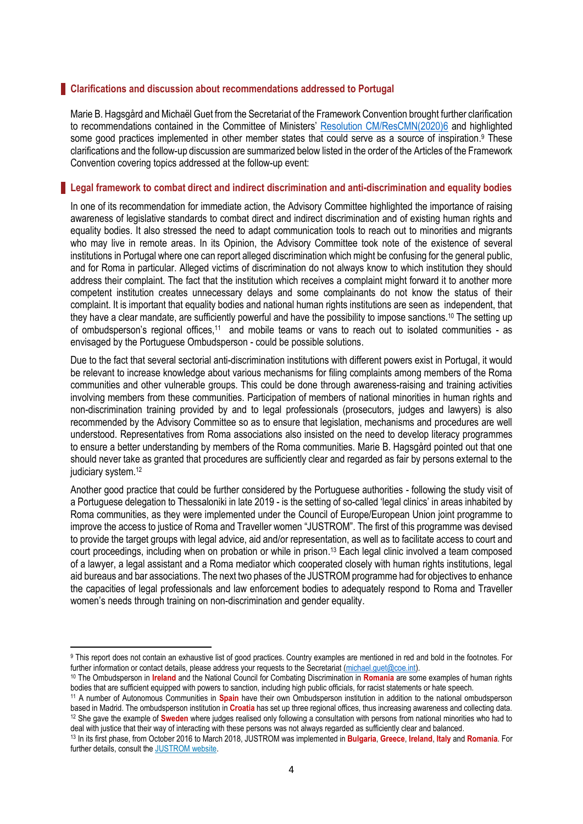#### **Clarifications and discussion about recommendations addressed to Portugal**

Marie B. Hagsgård and Michaël Guet from the Secretariat of the Framework Convention brought further clarification to recommendations contained in the Committee of Ministers' [Resolution CM/ResCMN\(2020\)6](https://search.coe.int/cm/pages/result_details.aspx?objectid=09000016809ebbb3) and highlighted some good practices implemented in other member states that could serve as a source of inspiration.<sup>9</sup> These clarifications and the follow-up discussion are summarized below listed in the order of the Articles of the Framework Convention covering topics addressed at the follow-up event:

### **Legal framework to combat direct and indirect discrimination and anti-discrimination and equality bodies**

In one of its recommendation for immediate action, the Advisory Committee highlighted the importance of raising awareness of legislative standards to combat direct and indirect discrimination and of existing human rights and equality bodies. It also stressed the need to adapt communication tools to reach out to minorities and migrants who may live in remote areas. In its Opinion, the Advisory Committee took note of the existence of several institutions in Portugal where one can report alleged discrimination which might be confusing for the general public, and for Roma in particular. Alleged victims of discrimination do not always know to which institution they should address their complaint. The fact that the institution which receives a complaint might forward it to another more competent institution creates unnecessary delays and some complainants do not know the status of their complaint. It is important that equality bodies and national human rights institutions are seen as independent, that they have a clear mandate, are sufficiently powerful and have the possibility to impose sanctions.<sup>10</sup> The setting up of ombudsperson's regional offices,<sup>11</sup> and mobile teams or vans to reach out to isolated communities - as envisaged by the Portuguese Ombudsperson - could be possible solutions.

Due to the fact that several sectorial anti-discrimination institutions with different powers exist in Portugal, it would be relevant to increase knowledge about various mechanisms for filing complaints among members of the Roma communities and other vulnerable groups. This could be done through awareness-raising and training activities involving members from these communities. Participation of members of national minorities in human rights and non-discrimination training provided by and to legal professionals (prosecutors, judges and lawyers) is also recommended by the Advisory Committee so as to ensure that legislation, mechanisms and procedures are well understood. Representatives from Roma associations also insisted on the need to develop literacy programmes to ensure a better understanding by members of the Roma communities. Marie B. Hagsgård pointed out that one should never take as granted that procedures are sufficiently clear and regarded as fair by persons external to the judiciary system.<sup>12</sup>

Another good practice that could be further considered by the Portuguese authorities - following the study visit of a Portuguese delegation to Thessaloniki in late 2019 - is the setting of so-called 'legal clinics' in areas inhabited by Roma communities, as they were implemented under the Council of Europe/European Union joint programme to improve the access to justice of Roma and Traveller women "JUSTROM". The first of this programme was devised to provide the target groups with legal advice, aid and/or representation, as well as to facilitate access to court and court proceedings, including when on probation or while in prison. <sup>13</sup> Each legal clinic involved a team composed of a lawyer, a legal assistant and a Roma mediator which cooperated closely with human rights institutions, legal aid bureaus and bar associations. The next two phases of the JUSTROM programme had for objectives to enhance the capacities of legal professionals and law enforcement bodies to adequately respond to Roma and Traveller women's needs through training on non-discrimination and gender equality.

<sup>9</sup> This report does not contain an exhaustive list of good practices. Country examples are mentioned in red and bold in the footnotes. For further information or contact details, please address your requests to the Secretariat (michael.quet@coe.int).

<sup>10</sup> The Ombudsperson in **Ireland** and the National Council for Combating Discrimination in **Romania** are some examples of human rights bodies that are sufficient equipped with powers to sanction, including high public officials, for racist statements or hate speech.

<sup>11</sup> A number of Autonomous Communities in **Spain** have their own Ombudsperson institution in addition to the national ombudsperson based in Madrid. The ombudsperson institution in **Croatia** has set up three regional offices, thus increasing awareness and collecting data. <sup>12</sup> She gave the example of **Sweden** where judges realised only following a consultation with persons from national minorities who had to deal with justice that their way of interacting with these persons was not always regarded as sufficiently clear and balanced.

<sup>13</sup> In its first phase, from October 2016 to March 2018, JUSTROM was implemented in **Bulgaria**, **Greece**, **Ireland**, **Italy** and **Romania**. For further details, consult th[e JUSTROM website.](https://pjp-eu.coe.int/en/web/access-to-justice-for-roma-women/about-justrom3)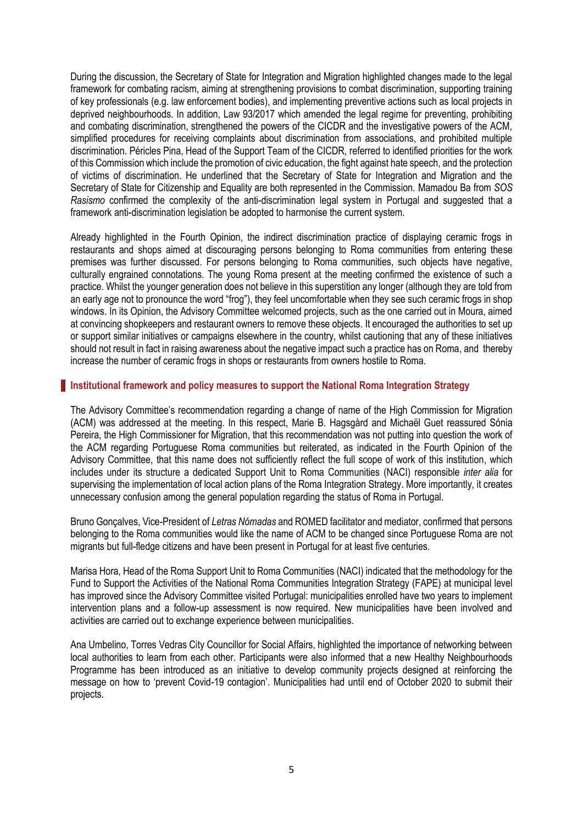During the discussion, the Secretary of State for Integration and Migration highlighted changes made to the legal framework for combating racism, aiming at strengthening provisions to combat discrimination, supporting training of key professionals (e.g. law enforcement bodies), and implementing preventive actions such as local projects in deprived neighbourhoods. In addition, Law 93/2017 which amended the legal regime for preventing, prohibiting and combating discrimination, strengthened the powers of the CICDR and the investigative powers of the ACM, simplified procedures for receiving complaints about discrimination from associations, and prohibited multiple discrimination. Péricles Pina, Head of the Support Team of the CICDR, referred to identified priorities for the work of this Commission which include the promotion of civic education, the fight against hate speech, and the protection of victims of discrimination. He underlined that the Secretary of State for Integration and Migration and the Secretary of State for Citizenship and Equality are both represented in the Commission. Mamadou Ba from *SOS Rasismo* confirmed the complexity of the anti-discrimination legal system in Portugal and suggested that a framework anti-discrimination legislation be adopted to harmonise the current system.

Already highlighted in the Fourth Opinion, the indirect discrimination practice of displaying ceramic frogs in restaurants and shops aimed at discouraging persons belonging to Roma communities from entering these premises was further discussed. For persons belonging to Roma communities, such objects have negative, culturally engrained connotations. The young Roma present at the meeting confirmed the existence of such a practice. Whilst the younger generation does not believe in this superstition any longer (although they are told from an early age not to pronounce the word "frog"), they feel uncomfortable when they see such ceramic frogs in shop windows. In its Opinion, the Advisory Committee welcomed projects, such as the one carried out in Moura, aimed at convincing shopkeepers and restaurant owners to remove these objects. It encouraged the authorities to set up or support similar initiatives or campaigns elsewhere in the country, whilst cautioning that any of these initiatives should not result in fact in raising awareness about the negative impact such a practice has on Roma, and thereby increase the number of ceramic frogs in shops or restaurants from owners hostile to Roma.

#### **Institutional framework and policy measures to support the National Roma Integration Strategy**

The Advisory Committee's recommendation regarding a change of name of the High Commission for Migration (ACM) was addressed at the meeting. In this respect, Marie B. Hagsgård and Michaël Guet reassured Sónia Pereira, the High Commissioner for Migration, that this recommendation was not putting into question the work of the ACM regarding Portuguese Roma communities but reiterated, as indicated in the Fourth Opinion of the Advisory Committee, that this name does not sufficiently reflect the full scope of work of this institution, which includes under its structure a dedicated Support Unit to Roma Communities (NACI) responsible *inter alia* for supervising the implementation of local action plans of the Roma Integration Strategy. More importantly, it creates unnecessary confusion among the general population regarding the status of Roma in Portugal.

Bruno Gonçalves, Vice-President of *Letras Nómadas* and ROMED facilitator and mediator, confirmed that persons belonging to the Roma communities would like the name of ACM to be changed since Portuguese Roma are not migrants but full-fledge citizens and have been present in Portugal for at least five centuries.

Marisa Hora, Head of the Roma Support Unit to Roma Communities (NACI) indicated that the methodology for the Fund to Support the Activities of the National Roma Communities Integration Strategy (FAPE) at municipal level has improved since the Advisory Committee visited Portugal: municipalities enrolled have two years to implement intervention plans and a follow-up assessment is now required. New municipalities have been involved and activities are carried out to exchange experience between municipalities.

Ana Umbelino, Torres Vedras City Councillor for Social Affairs, highlighted the importance of networking between local authorities to learn from each other. Participants were also informed that a new Healthy Neighbourhoods Programme has been introduced as an initiative to develop community projects designed at reinforcing the message on how to 'prevent Covid-19 contagion'. Municipalities had until end of October 2020 to submit their projects.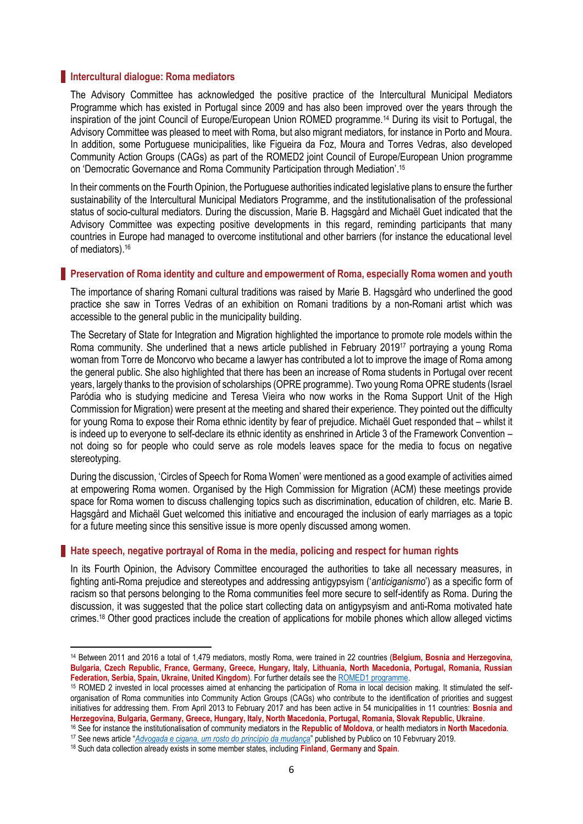#### **Intercultural dialogue: Roma mediators**

The Advisory Committee has acknowledged the positive practice of the Intercultural Municipal Mediators Programme which has existed in Portugal since 2009 and has also been improved over the years through the inspiration of the joint Council of Europe/European Union ROMED programme.<sup>14</sup> During its visit to Portugal, the Advisory Committee was pleased to meet with Roma, but also migrant mediators, for instance in Porto and Moura. In addition, some Portuguese municipalities, like Figueira da Foz, Moura and Torres Vedras, also developed Community Action Groups (CAGs) as part of the ROMED2 joint Council of Europe/European Union programme on 'Democratic Governance and Roma Community Participation through Mediation'. 15

In their comments on the Fourth Opinion, the Portuguese authorities indicated legislative plans to ensure the further sustainability of the Intercultural Municipal Mediators Programme, and the institutionalisation of the professional status of socio-cultural mediators. During the discussion, Marie B. Hagsgård and Michaël Guet indicated that the Advisory Committee was expecting positive developments in this regard, reminding participants that many countries in Europe had managed to overcome institutional and other barriers (for instance the educational level of mediators).<sup>16</sup>

#### **Preservation of Roma identity and culture and empowerment of Roma, especially Roma women and youth**

The importance of sharing Romani cultural traditions was raised by Marie B. Hagsgård who underlined the good practice she saw in Torres Vedras of an exhibition on Romani traditions by a non-Romani artist which was accessible to the general public in the municipality building.

The Secretary of State for Integration and Migration highlighted the importance to promote role models within the Roma community. She underlined that a news article published in February 2019<sup>17</sup> portraying a young Roma woman from Torre de Moncorvo who became a lawyer has contributed a lot to improve the image of Roma among the general public. She also highlighted that there has been an increase of Roma students in Portugal over recent years, largely thanks to the provision of scholarships (OPRE programme). Two young Roma OPRE students (Israel Paródia who is studying medicine and Teresa Vieira who now works in the Roma Support Unit of the High Commission for Migration) were present at the meeting and shared their experience. They pointed out the difficulty for young Roma to expose their Roma ethnic identity by fear of prejudice. Michaël Guet responded that – whilst it is indeed up to everyone to self-declare its ethnic identity as enshrined in Article 3 of the Framework Convention – not doing so for people who could serve as role models leaves space for the media to focus on negative stereotyping.

During the discussion, 'Circles of Speech for Roma Women' were mentioned as a good example of activities aimed at empowering Roma women. Organised by the High Commission for Migration (ACM) these meetings provide space for Roma women to discuss challenging topics such as discrimination, education of children, etc. Marie B. Hagsgård and Michaël Guet welcomed this initiative and encouraged the inclusion of early marriages as a topic for a future meeting since this sensitive issue is more openly discussed among women.

#### **Hate speech, negative portrayal of Roma in the media, policing and respect for human rights**

In its Fourth Opinion, the Advisory Committee encouraged the authorities to take all necessary measures, in fighting anti-Roma prejudice and stereotypes and addressing antigypsyism ('*anticiganismo*') as a specific form of racism so that persons belonging to the Roma communities feel more secure to self-identify as Roma. During the discussion, it was suggested that the police start collecting data on antigypsyism and anti-Roma motivated hate crimes. <sup>18</sup> Other good practices include the creation of applications for mobile phones which allow alleged victims

<sup>14</sup> Between 2011 and 2016 a total of 1,479 mediators, mostly Roma, were trained in 22 countries (**Belgium, Bosnia and Herzegovina, Bulgaria, Czech Republic, France, Germany, Greece, Hungary, Italy, Lithuania, North Macedonia, Portugal, Romania, Russian**  Federation, Serbia, Spain, Ukraine, United Kingdom). For further details see the **ROMED1** programme.

<sup>15</sup> ROMED 2 invested in local processes aimed at enhancing the participation of Roma in local decision making. It stimulated the selforganisation of Roma communities into Community Action Groups (CAGs) who contribute to the identification of priorities and suggest initiatives for addressing them. From April 2013 to February 2017 and has been active in 54 municipalities in 11 countries: **Bosnia and Herzegovina, Bulgaria, Germany, Greece, Hungary, Italy, North Macedonia, Portugal, Romania, Slovak Republic, Ukraine**.

<sup>16</sup> See for instance the institutionalisation of community mediators in the **Republic of Moldova**, or health mediators in **North Macedonia**.

<sup>17</sup> See news article "*[Advogada e cigana, um rosto do princípio da mudança](https://www.publico.pt/2019/02/10/sociedade/reportagem/advogada-cigana-rosto-principio-mudanca-1861228)*" published by Publico on 10 Febvruary 2019.

<sup>18</sup> Such data collection already exists in some member states, including **Finland**, **Germany** and **Spain**.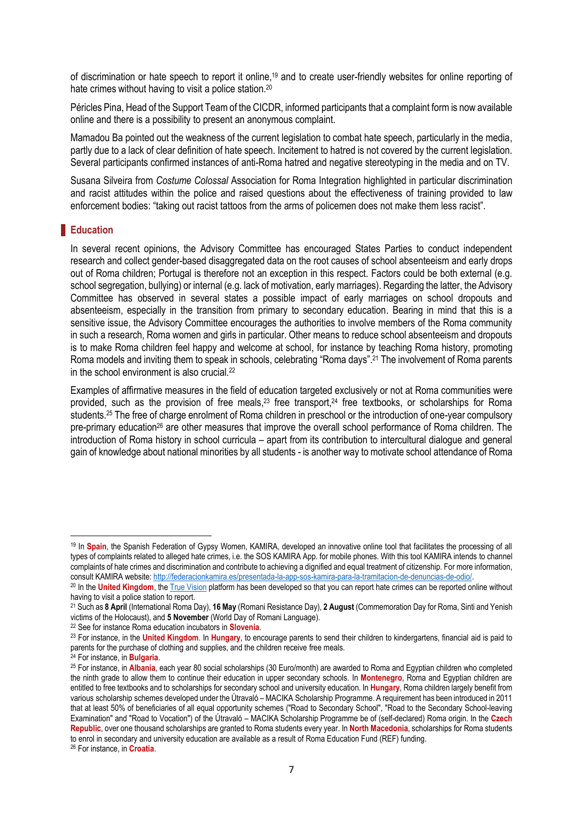of discrimination or hate speech to report it online,<sup>19</sup> and to create user-friendly websites for online reporting of hate crimes without having to visit a police station.<sup>20</sup>

Péricles Pina, Head of the Support Team of the CICDR, informed participants that a complaint form is now available online and there is a possibility to present an anonymous complaint.

Mamadou Ba pointed out the weakness of the current legislation to combat hate speech, particularly in the media, partly due to a lack of clear definition of hate speech. Incitement to hatred is not covered by the current legislation. Several participants confirmed instances of anti-Roma hatred and negative stereotyping in the media and on TV.

Susana Silveira from *Costume Colossal* Association for Roma Integration highlighted in particular discrimination and racist attitudes within the police and raised questions about the effectiveness of training provided to law enforcement bodies: "taking out racist tattoos from the arms of policemen does not make them less racist".

### **Education**

In several recent opinions, the Advisory Committee has encouraged States Parties to conduct independent research and collect gender-based disaggregated data on the root causes of school absenteeism and early drops out of Roma children; Portugal is therefore not an exception in this respect. Factors could be both external (e.g. school segregation, bullying) or internal (e.g. lack of motivation, early marriages). Regarding the latter, the Advisory Committee has observed in several states a possible impact of early marriages on school dropouts and absenteeism, especially in the transition from primary to secondary education. Bearing in mind that this is a sensitive issue, the Advisory Committee encourages the authorities to involve members of the Roma community in such a research, Roma women and girls in particular. Other means to reduce school absenteeism and dropouts is to make Roma children feel happy and welcome at school, for instance by teaching Roma history, promoting Roma models and inviting them to speak in schools, celebrating "Roma days".<sup>21</sup> The involvement of Roma parents in the school environment is also crucial.<sup>22</sup>

Examples of affirmative measures in the field of education targeted exclusively or not at Roma communities were provided, such as the provision of free meals,<sup>23</sup> free transport,<sup>24</sup> free textbooks, or scholarships for Roma students.<sup>25</sup> The free of charge enrolment of Roma children in preschool or the introduction of one-year compulsory pre-primary education<sup>26</sup> are other measures that improve the overall school performance of Roma children. The introduction of Roma history in school curricula – apart from its contribution to intercultural dialogue and general gain of knowledge about national minorities by all students - is another way to motivate school attendance of Roma

<sup>19</sup> In **Spain**, the Spanish Federation of Gypsy Women, KAMIRA, developed an innovative online tool that facilitates the processing of all types of complaints related to alleged hate crimes, i.e. the SOS KAMIRA App. for mobile phones. With this tool KAMIRA intends to channel complaints of hate crimes and discrimination and contribute to achieving a dignified and equal treatment of citizenship. For more information, consult KAMIRA website: [http://federacionkamira.es/presentada-la-app-sos-kamira-para-la-tramitacion-de-denuncias-de-odio/.](http://federacionkamira.es/presentada-la-app-sos-kamira-para-la-tramitacion-de-denuncias-de-odio/)

<sup>&</sup>lt;sup>20</sup> In the **United Kingdom**, th[e True Vision](https://www.report-it.org.uk/your_police_force) platform has been developed so that you can report hate crimes can be reported online without having to visit a police station to report.

<sup>21</sup> Such as **8 April** (International Roma Day), **16 May** (Romani Resistance Day), **2 August** (Commemoration Day for Roma, Sinti and Yenish victims of the Holocaust), and **5 November** (World Day of Romani Language).

<sup>22</sup> See for instance Roma education incubators in **Slovenia**.

<sup>23</sup> For instance, in the **United Kingdom**. In **Hungary**, to encourage parents to send their children to kindergartens, financial aid is paid to parents for the purchase of clothing and supplies, and the children receive free meals.

<sup>24</sup> For instance, in **Bulgaria**.

<sup>25</sup> For instance, in **Albania**, each year 80 social scholarships (30 Euro/month) are awarded to Roma and Egyptian children who completed the ninth grade to allow them to continue their education in upper secondary schools. In **Montenegro**, Roma and Egyptian children are entitled to free textbooks and to scholarships for secondary school and university education. In **Hungary**, Roma children largely benefit from various scholarship schemes developed under the Útravaló – MACIKA Scholarship Programme. A requirement has been introduced in 2011 that at least 50% of beneficiaries of all equal opportunity schemes ("Road to Secondary School", "Road to the Secondary School-leaving Examination" and "Road to Vocation") of the Útravaló – MACIKA Scholarship Programme be of (self-declared) Roma origin. In the **Czech Republic**, over one thousand scholarships are granted to Roma students every year. In **North Macedonia**, scholarships for Roma students to enrol in secondary and university education are available as a result of Roma Education Fund (REF) funding.

<sup>26</sup> For instance, in **Croatia**.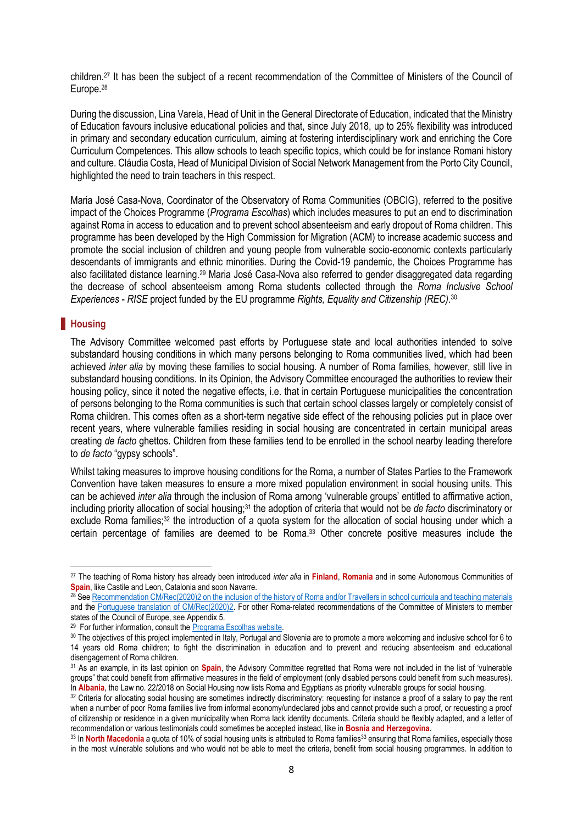children.<sup>27</sup> It has been the subject of a recent recommendation of the Committee of Ministers of the Council of Europe.<sup>28</sup>

During the discussion, Lina Varela, Head of Unit in the General Directorate of Education, indicated that the Ministry of Education favours inclusive educational policies and that, since July 2018, up to 25% flexibility was introduced in primary and secondary education curriculum, aiming at fostering interdisciplinary work and enriching the Core Curriculum Competences. This allow schools to teach specific topics, which could be for instance Romani history and culture. Cláudia Costa, Head of Municipal Division of Social Network Management from the Porto City Council, highlighted the need to train teachers in this respect.

Maria José Casa-Nova, Coordinator of the Observatory of Roma Communities (OBCIG), referred to the positive impact of the Choices Programme (*Programa Escolhas*) which includes measures to put an end to discrimination against Roma in access to education and to prevent school absenteeism and early dropout of Roma children. This programme has been developed by the High Commission for Migration (ACM) to increase academic success and promote the social inclusion of children and young people from vulnerable socio-economic contexts particularly descendants of immigrants and ethnic minorities. During the Covid-19 pandemic, the Choices Programme has also facilitated distance learning.<sup>29</sup> Maria José Casa-Nova also referred to gender disaggregated data regarding the decrease of school absenteeism among Roma students collected through the *Roma Inclusive School Experiences* - *RISE* project funded by the EU programme *Rights, Equality and Citizenship (REC)*. 30

#### **Housing**

 $\overline{a}$ 

The Advisory Committee welcomed past efforts by Portuguese state and local authorities intended to solve substandard housing conditions in which many persons belonging to Roma communities lived, which had been achieved *inter alia* by moving these families to social housing. A number of Roma families, however, still live in substandard housing conditions. In its Opinion, the Advisory Committee encouraged the authorities to review their housing policy, since it noted the negative effects, i.e. that in certain Portuguese municipalities the concentration of persons belonging to the Roma communities is such that certain school classes largely or completely consist of Roma children. This comes often as a short-term negative side effect of the rehousing policies put in place over recent years, where vulnerable families residing in social housing are concentrated in certain municipal areas creating *de facto* ghettos. Children from these families tend to be enrolled in the school nearby leading therefore to *de facto* "gypsy schools".

Whilst taking measures to improve housing conditions for the Roma, a number of States Parties to the Framework Convention have taken measures to ensure a more mixed population environment in social housing units. This can be achieved *inter alia* through the inclusion of Roma among 'vulnerable groups' entitled to affirmative action, including priority allocation of social housing;<sup>31</sup> the adoption of criteria that would not be *de facto* discriminatory or exclude Roma families;<sup>32</sup> the introduction of a quota system for the allocation of social housing under which a certain percentage of families are deemed to be Roma.<sup>33</sup> Other concrete positive measures include the

<sup>27</sup> The teaching of Roma history has already been introduced *inter alia* in **Finland**, **Romania** and in some Autonomous Communities of **Spain**, like Castile and Leon, Catalonia and soon Navarre.

<sup>&</sup>lt;sup>28</sup> Se[e Recommendation CM/Rec\(2020\)2 on the inclusion of the history of Roma and/or Travellers](https://search.coe.int/cm/Pages/result_details.aspx?ObjectId=09000016809ee48c) [in school curricula and teaching materials](https://search.coe.int/cm/Pages/result_details.aspx?ObjectId=09000016809ee48c) and the [Portuguese translation of CM/Rec\(2020\)2.](https://search.coe.int/cm/Pages/result_details.aspx?ObjectId=0900001680a002fd) For other Roma-related recommendations of the Committee of Ministers to member states of the Council of Europe, see Appendix 5.

<sup>&</sup>lt;sup>29</sup> For further information, consult th[e Programa Escolhas website.](http://www.programaescolhas.pt/)

<sup>30</sup> The objectives of this project implemented in Italy, Portugal and Slovenia are to promote a more welcoming and inclusive school for 6 to 14 years old Roma children; to fight the discrimination in education and to prevent and reducing absenteeism and educational disengagement of Roma children.

<sup>31</sup> As an example, in its last opinion on **Spain**, the Advisory Committee regretted that Roma were not included in the list of 'vulnerable groups" that could benefit from affirmative measures in the field of employment (only disabled persons could benefit from such measures). In **Albania**, the Law no. 22/2018 on Social Housing now lists Roma and Egyptians as priority vulnerable groups for social housing.

<sup>32</sup> Criteria for allocating social housing are sometimes indirectly discriminatory: requesting for instance a proof of a salary to pay the rent when a number of poor Roma families live from informal economy/undeclared jobs and cannot provide such a proof, or requesting a proof of citizenship or residence in a given municipality when Roma lack identity documents. Criteria should be flexibly adapted, and a letter of recommendation or various testimonials could sometimes be accepted instead, like in **Bosnia and Herzegovina**.

<sup>&</sup>lt;sup>33</sup> In North Macedonia a quota of 10% of social housing units is attributed to Roma families<sup>33</sup> ensuring that Roma families, especially those in the most vulnerable solutions and who would not be able to meet the criteria, benefit from social housing programmes. In addition to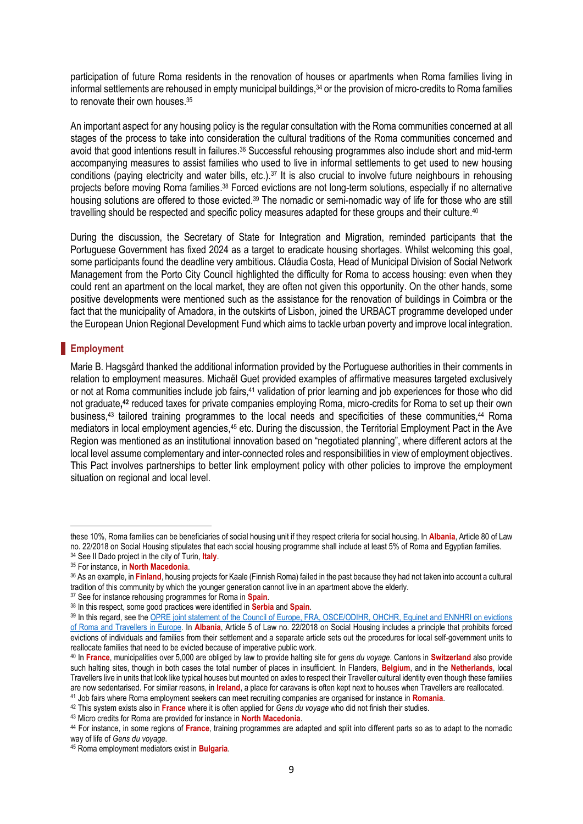participation of future Roma residents in the renovation of houses or apartments when Roma families living in informal settlements are rehoused in empty municipal buildings,<sup>34</sup> or the provision of micro-credits to Roma families to renovate their own houses.<sup>35</sup>

An important aspect for any housing policy is the regular consultation with the Roma communities concerned at all stages of the process to take into consideration the cultural traditions of the Roma communities concerned and avoid that good intentions result in failures.<sup>36</sup> Successful rehousing programmes also include short and mid-term accompanying measures to assist families who used to live in informal settlements to get used to new housing conditions (paying electricity and water bills, etc.).<sup>37</sup> It is also crucial to involve future neighbours in rehousing projects before moving Roma families.<sup>38</sup> Forced evictions are not long-term solutions, especially if no alternative housing solutions are offered to those evicted.<sup>39</sup> The nomadic or semi-nomadic way of life for those who are still travelling should be respected and specific policy measures adapted for these groups and their culture.<sup>40</sup>

During the discussion, the Secretary of State for Integration and Migration, reminded participants that the Portuguese Government has fixed 2024 as a target to eradicate housing shortages. Whilst welcoming this goal, some participants found the deadline very ambitious. Cláudia Costa, Head of Municipal Division of Social Network Management from the Porto City Council highlighted the difficulty for Roma to access housing: even when they could rent an apartment on the local market, they are often not given this opportunity. On the other hands, some positive developments were mentioned such as the assistance for the renovation of buildings in Coimbra or the fact that the municipality of Amadora, in the outskirts of Lisbon, joined the URBACT programme developed under the European Union Regional Development Fund which aims to tackle urban poverty and improve local integration.

# **Employment**

1

Marie B. Hagsgård thanked the additional information provided by the Portuguese authorities in their comments in relation to employment measures. Michaël Guet provided examples of affirmative measures targeted exclusively or not at Roma communities include job fairs,<sup>41</sup> validation of prior learning and job experiences for those who did not graduate**, <sup>42</sup>** reduced taxes for private companies employing Roma, micro-credits for Roma to set up their own business,<sup>43</sup> tailored training programmes to the local needs and specificities of these communities,<sup>44</sup> Roma mediators in local employment agencies,<sup>45</sup> etc. During the discussion, the Territorial Employment Pact in the Ave Region was mentioned as an institutional innovation based on "negotiated planning", where different actors at the local level assume complementary and inter-connected roles and responsibilities in view of employment objectives. This Pact involves partnerships to better link employment policy with other policies to improve the employment situation on regional and local level.

these 10%, Roma families can be beneficiaries of social housing unit if they respect criteria for social housing. In **Albania**, Article 80 of Law no. 22/2018 on Social Housing stipulates that each social housing programme shall include at least 5% of Roma and Egyptian families.

<sup>34</sup> See Il Dado project in the city of Turin, **Italy**.

<sup>35</sup> For instance, in **North Macedonia**.

<sup>36</sup> As an example, in **Finland**, housing projects for Kaale (Finnish Roma) failed in the past because they had not taken into account a cultural tradition of this community by which the younger generation cannot live in an apartment above the elderly.

<sup>37</sup> See for instance rehousing programmes for Roma in **Spain**.

<sup>38</sup> In this respect, some good practices were identified in **Serbia** and **Spain**.

<sup>39</sup> In this regard, see the OPRE joint statement of the Council of Europe, FRA, OSCE/ODIHR, OHCHR, Equinet and ENNHRI on evictions [of Roma and Travellers in Europe.](https://rm.coe.int/1680682b0a) In **Albania**, Article 5 of Law no. 22/2018 on Social Housing includes a principle that prohibits forced evictions of individuals and families from their settlement and a separate article sets out the procedures for local self-government units to reallocate families that need to be evicted because of imperative public work.

<sup>40</sup> In **France**, municipalities over 5,000 are obliged by law to provide halting site for *gens du voyage*. Cantons in **Switzerland** also provide such halting sites, though in both cases the total number of places in insufficient. In Flanders, **Belgium**, and in the **Netherlands**, local Travellers live in units that look like typical houses but mounted on axles to respect their Traveller cultural identity even though these families are now sedentarised. For similar reasons, in **Ireland**, a place for caravans is often kept next to houses when Travellers are reallocated.

<sup>41</sup> Job fairs where Roma employment seekers can meet recruiting companies are organised for instance in **Romania**. <sup>42</sup> This system exists also in **France** where it is often applied for *Gens du voyage* who did not finish their studies.

<sup>43</sup> Micro credits for Roma are provided for instance in **North Macedonia**.

<sup>44</sup> For instance, in some regions of **France**, training programmes are adapted and split into different parts so as to adapt to the nomadic way of life of *Gens du voyage*.

<sup>45</sup> Roma employment mediators exist in **Bulgaria**.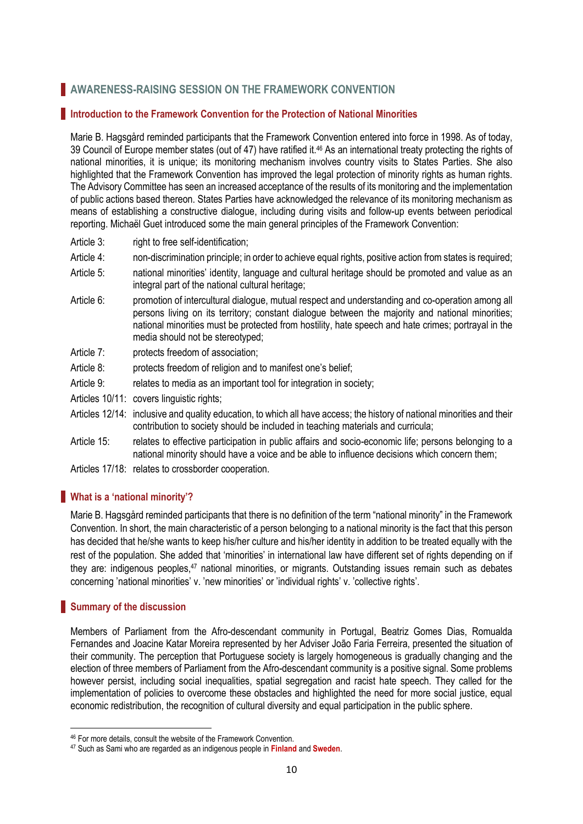# **AWARENESS-RAISING SESSION ON THE FRAMEWORK CONVENTION**

# **Introduction to the Framework Convention for the Protection of National Minorities**

Marie B. Hagsgård reminded participants that the Framework Convention entered into force in 1998. As of today, 39 Council of Europe member states (out of 47) have ratified it. <sup>46</sup> As an international treaty protecting the rights of national minorities, it is unique; its monitoring mechanism involves country visits to States Parties. She also highlighted that the Framework Convention has improved the legal protection of minority rights as human rights. The Advisory Committee has seen an increased acceptance of the results of its monitoring and the implementation of public actions based thereon. States Parties have acknowledged the relevance of its monitoring mechanism as means of establishing a constructive dialogue, including during visits and follow-up events between periodical reporting. Michaël Guet introduced some the main general principles of the Framework Convention:

- Article 3: right to free self-identification;
- Article 4: non-discrimination principle; in order to achieve equal rights, positive action from states is required;
- Article 5: national minorities' identity, language and cultural heritage should be promoted and value as an integral part of the national cultural heritage;
- Article 6: promotion of intercultural dialogue, mutual respect and understanding and co-operation among all persons living on its territory; constant dialogue between the majority and national minorities; national minorities must be protected from hostility, hate speech and hate crimes; portrayal in the media should not be stereotyped;
- Article 7: protects freedom of association;
- Article 8: protects freedom of religion and to manifest one's belief;
- Article 9: relates to media as an important tool for integration in society;
- Articles 10/11: covers linguistic rights;
- Articles 12/14: inclusive and quality education, to which all have access; the history of national minorities and their contribution to society should be included in teaching materials and curricula;
- Article 15: relates to effective participation in public affairs and socio-economic life; persons belonging to a national minority should have a voice and be able to influence decisions which concern them;
- Articles 17/18: relates to crossborder cooperation.

# **What is a 'national minority'?**

Marie B. Hagsgård reminded participants that there is no definition of the term "national minority" in the Framework Convention. In short, the main characteristic of a person belonging to a national minority is the fact that this person has decided that he/she wants to keep his/her culture and his/her identity in addition to be treated equally with the rest of the population. She added that 'minorities' in international law have different set of rights depending on if they are: indigenous peoples,<sup>47</sup> national minorities, or migrants. Outstanding issues remain such as debates concerning 'national minorities' v. 'new minorities' or 'individual rights' v. 'collective rights'.

# **Summary of the discussion**

1

Members of Parliament from the Afro-descendant community in Portugal, Beatriz Gomes Dias, Romualda Fernandes and Joacine Katar Moreira represented by her Adviser João Faria Ferreira, presented the situation of their community. The perception that Portuguese society is largely homogeneous is gradually changing and the election of three members of Parliament from the Afro-descendant community is a positive signal. Some problems however persist, including social inequalities, spatial segregation and racist hate speech. They called for the implementation of policies to overcome these obstacles and highlighted the need for more social justice, equal economic redistribution, the recognition of cultural diversity and equal participation in the public sphere.

<sup>46</sup> For more details, consult the website of the Framework Convention.

<sup>47</sup> Such as Sami who are regarded as an indigenous people in **Finland** and **Sweden**.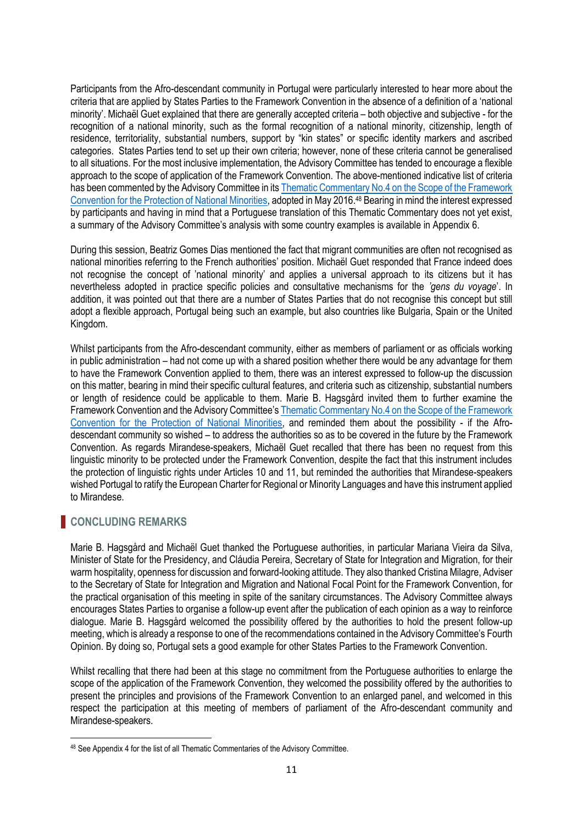Participants from the Afro-descendant community in Portugal were particularly interested to hear more about the criteria that are applied by States Parties to the Framework Convention in the absence of a definition of a 'national minority'. Michaël Guet explained that there are generally accepted criteria – both objective and subjective - for the recognition of a national minority, such as the formal recognition of a national minority, citizenship, length of residence, territoriality, substantial numbers, support by "kin states" or specific identity markers and ascribed categories. States Parties tend to set up their own criteria; however, none of these criteria cannot be generalised to all situations. For the most inclusive implementation, the Advisory Committee has tended to encourage a flexible approach to the scope of application of the Framework Convention. The above-mentioned indicative list of criteria has been commented by the Advisory Committee in it[s Thematic Commentary No.4 on the Scope of the Framework](https://rm.coe.int/CoERMPublicCommonSearchServices/DisplayDCTMContent?documentId=09000016806a4811)  [Convention for the Protection of National Minorities,](https://rm.coe.int/CoERMPublicCommonSearchServices/DisplayDCTMContent?documentId=09000016806a4811) adopted in May 2016. <sup>48</sup> Bearing in mind the interest expressed by participants and having in mind that a Portuguese translation of this Thematic Commentary does not yet exist, a summary of the Advisory Committee's analysis with some country examples is available in Appendix 6.

During this session, Beatriz Gomes Dias mentioned the fact that migrant communities are often not recognised as national minorities referring to the French authorities' position. Michaël Guet responded that France indeed does not recognise the concept of 'national minority' and applies a universal approach to its citizens but it has nevertheless adopted in practice specific policies and consultative mechanisms for the *'gens du voyage*'. In addition, it was pointed out that there are a number of States Parties that do not recognise this concept but still adopt a flexible approach, Portugal being such an example, but also countries like Bulgaria, Spain or the United Kingdom.

Whilst participants from the Afro-descendant community, either as members of parliament or as officials working in public administration – had not come up with a shared position whether there would be any advantage for them to have the Framework Convention applied to them, there was an interest expressed to follow-up the discussion on this matter, bearing in mind their specific cultural features, and criteria such as citizenship, substantial numbers or length of residence could be applicable to them. Marie B. Hagsgård invited them to further examine the Framework Convention and the Advisory Committee's [Thematic Commentary No.4 on the Scope of the Framework](https://rm.coe.int/CoERMPublicCommonSearchServices/DisplayDCTMContent?documentId=09000016806a4811)  [Convention for the Protection of National Minorities,](https://rm.coe.int/CoERMPublicCommonSearchServices/DisplayDCTMContent?documentId=09000016806a4811) and reminded them about the possibility - if the Afrodescendant community so wished – to address the authorities so as to be covered in the future by the Framework Convention. As regards Mirandese-speakers, Michaël Guet recalled that there has been no request from this linguistic minority to be protected under the Framework Convention, despite the fact that this instrument includes the protection of linguistic rights under Articles 10 and 11, but reminded the authorities that Mirandese-speakers wished Portugal to ratify the European Charter for Regional or Minority Languages and have this instrument applied to Mirandese.

# **CONCLUDING REMARKS**

**.** 

Marie B. Hagsgård and Michaël Guet thanked the Portuguese authorities, in particular Mariana Vieira da Silva, Minister of State for the Presidency, and Cláudia Pereira, Secretary of State for Integration and Migration, for their warm hospitality, openness for discussion and forward-looking attitude. They also thanked Cristina Milagre, Adviser to the Secretary of State for Integration and Migration and National Focal Point for the Framework Convention, for the practical organisation of this meeting in spite of the sanitary circumstances. The Advisory Committee always encourages States Parties to organise a follow-up event after the publication of each opinion as a way to reinforce dialogue. Marie B. Hagsgård welcomed the possibility offered by the authorities to hold the present follow-up meeting, which is already a response to one of the recommendations contained in the Advisory Committee's Fourth Opinion. By doing so, Portugal sets a good example for other States Parties to the Framework Convention.

Whilst recalling that there had been at this stage no commitment from the Portuguese authorities to enlarge the scope of the application of the Framework Convention, they welcomed the possibility offered by the authorities to present the principles and provisions of the Framework Convention to an enlarged panel, and welcomed in this respect the participation at this meeting of members of parliament of the Afro-descendant community and Mirandese-speakers.

<sup>48</sup> See Appendix 4 for the list of all Thematic Commentaries of the Advisory Committee.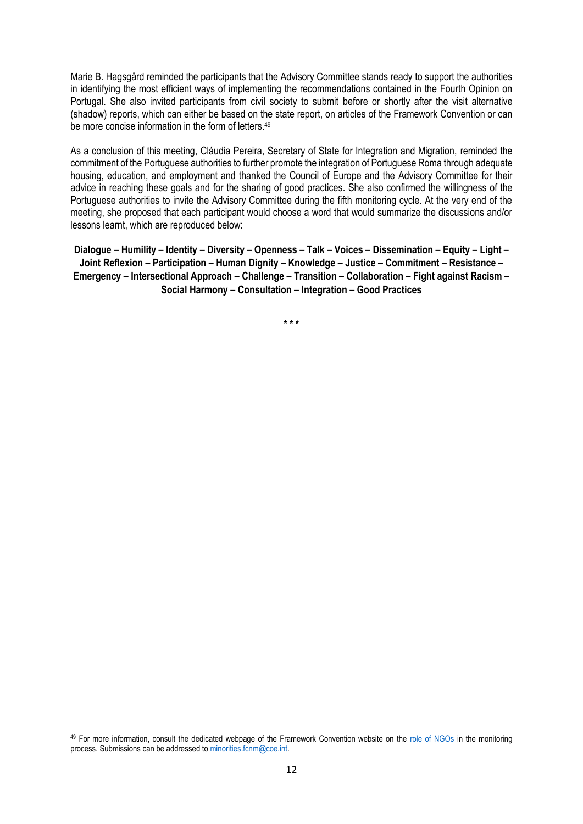Marie B. Hagsgård reminded the participants that the Advisory Committee stands ready to support the authorities in identifying the most efficient ways of implementing the recommendations contained in the Fourth Opinion on Portugal. She also invited participants from civil society to submit before or shortly after the visit alternative (shadow) reports, which can either be based on the state report, on articles of the Framework Convention or can be more concise information in the form of letters.<sup>49</sup>

As a conclusion of this meeting, Cláudia Pereira, Secretary of State for Integration and Migration, reminded the commitment of the Portuguese authorities to further promote the integration of Portuguese Roma through adequate housing, education, and employment and thanked the Council of Europe and the Advisory Committee for their advice in reaching these goals and for the sharing of good practices. She also confirmed the willingness of the Portuguese authorities to invite the Advisory Committee during the fifth monitoring cycle. At the very end of the meeting, she proposed that each participant would choose a word that would summarize the discussions and/or lessons learnt, which are reproduced below:

Dialogue - Humility - Identity - Diversity - Openness - Talk - Voices - Dissemination - Equity - Light -**Joint Reflexion – Participation – Human Dignity – Knowledge – Justice – Commitment – Resistance – Emergency – Intersectional Approach – Challenge – Transition – Collaboration – Fight against Racism – Social Harmony – Consultation – Integration – Good Practices**

**\* \* \***

1

<sup>49</sup> For more information, consult the dedicated webpage of the Framework Convention website on the [role of NGOs](https://www.coe.int/en/web/minorities/role-of-ngos) in the monitoring process. Submissions can be addressed to [minorities.fcnm@coe.int.](mailto:minorities.fcnm@coe.int)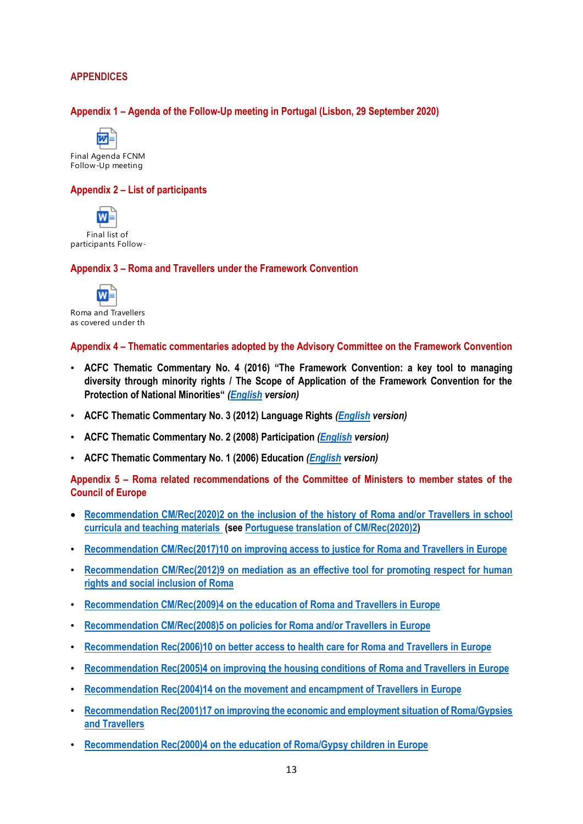# **APPENDICES**

### **Appendix 1 – Agenda of the Follow-Up meeting in Portugal (Lisbon, 29 September 2020)**



Final Agenda FCNM Follow-Up meeting

#### **Appendix 2 – List of participants**



#### **Appendix 3 – Roma and Travellers under the Framework Convention**



Roma and Travellers as covered under the

#### **Appendix 4 – Thematic commentaries adopted by the Advisory Committee on the Framework Convention**

- **ACFC Thematic Commentary No. 4 (2016) "The Framework Convention: a key tool to managing diversity through minority rights / The Scope of Application of the Framework Convention for the Protection of National Minorities"** *[\(English](http://rm.coe.int/CoERMPublicCommonSearchServices/DisplayDCTMContent?documentId=09000016806a4811) version)*
- **ACFC Thematic Commentary No. 3 (2012) Language Rights** *[\(English](http://rm.coe.int/CoERMPublicCommonSearchServices/DisplayDCTMContent?documentId=09000016800c108d) version)*
- **ACFC Thematic Commentary No. 2 (2008) Participation** *[\(English](http://rm.coe.int/CoERMPublicCommonSearchServices/DisplayDCTMContent?documentId=09000016800bc7e8) version)*
- **ACFC Thematic Commentary No. 1 (2006) Education** *[\(English](http://rm.coe.int/CoERMPublicCommonSearchServices/DisplayDCTMContent?documentId=09000016800bb694) version)*

**Appendix 5 – Roma related recommendations of the Committee of Ministers to member states of the Council of Europe**

- **[Recommendation CM/Rec\(2020\)2 on the inclusion of the history of Roma and/or Travellers](https://search.coe.int/cm/Pages/result_details.aspx?ObjectId=09000016809ee48c) [in school](https://search.coe.int/cm/Pages/result_details.aspx?ObjectId=09000016809ee48c)  [curricula and teaching materials](https://search.coe.int/cm/Pages/result_details.aspx?ObjectId=09000016809ee48c) (see [Portuguese translation of CM/Rec\(2020\)2\)](https://search.coe.int/cm/Pages/result_details.aspx?ObjectId=0900001680a002fd)**
- **Recommendation CM/Rec(2017)10 [on improving access to justice for Roma and Travellers](https://search.coe.int/cm/Pages/result_details.aspx?ObjectId=090000168075f2aa) [in Europe](https://search.coe.int/cm/Pages/result_details.aspx?ObjectId=090000168075f2aa)**
- **[Recommendation CM/Rec\(2012\)9 on mediation as an effective tool for promoting respect for human](https://search.coe.int/cm/Pages/result_details.aspx?ObjectID=09000016805c9f3e)  [rights and social inclusion of Roma](https://search.coe.int/cm/Pages/result_details.aspx?ObjectID=09000016805c9f3e)**
- **[Recommendation CM/Rec\(2009\)4 on the education of Roma and Travellers](http://rm.coe.int/09000016805b0a1c) [in Europe](http://rm.coe.int/09000016805b0a1c)**
- **[Recommendation CM/Rec\(2008\)5 on policies for Roma and/or Travellers](http://rm.coe.int/09000016805d3e1c) [in Europe](http://rm.coe.int/09000016805d3e1c)**
- **[Recommendation Rec\(2006\)10 on better access to health care for Roma and Travellers](http://rm.coe.int/09000016805aff57) [in Europe](http://rm.coe.int/09000016805aff57)**
- **[Recommendation Rec\(2005\)4 on improving the housing conditions of Roma and Travellers](http://rm.coe.int/09000016805dad2c) [in Europe](http://rm.coe.int/09000016805dad2c)**
- **[Recommendation Rec\(2004\)14 on the movement and encampment of Travellers](http://rm.coe.int/09000016805db80c) [in Europe](http://rm.coe.int/09000016805db80c)**
- **[Recommendation Rec\(2001\)17 on improving the economic and employment situation of Roma/Gypsies](http://rm.coe.int/09000016805e2958)  [and Travellers](http://rm.coe.int/09000016805e2958)**
- **[Recommendation Rec\(2000\)4 on the education of Roma/Gypsy children in Europe](http://rm.coe.int/09000016805e2e91)**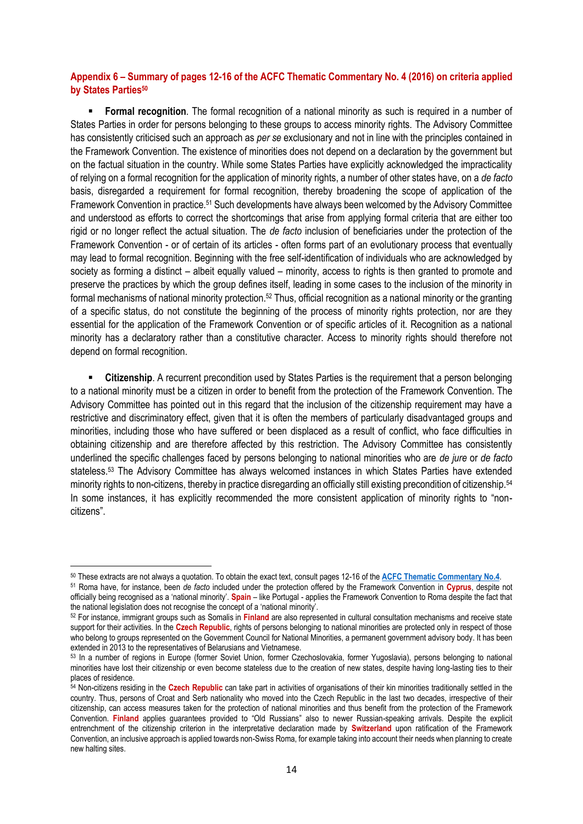### **Appendix 6 – Summary of pages 12-16 of the ACFC Thematic Commentary No. 4 (2016) on criteria applied by States Parties<sup>50</sup>**

 **Formal recognition**. The formal recognition of a national minority as such is required in a number of States Parties in order for persons belonging to these groups to access minority rights. The Advisory Committee has consistently criticised such an approach as *per se* exclusionary and not in line with the principles contained in the Framework Convention. The existence of minorities does not depend on a declaration by the government but on the factual situation in the country. While some States Parties have explicitly acknowledged the impracticality of relying on a formal recognition for the application of minority rights, a number of other states have, on a *de facto* basis, disregarded a requirement for formal recognition, thereby broadening the scope of application of the Framework Convention in practice.<sup>51</sup> Such developments have always been welcomed by the Advisory Committee and understood as efforts to correct the shortcomings that arise from applying formal criteria that are either too rigid or no longer reflect the actual situation. The *de facto* inclusion of beneficiaries under the protection of the Framework Convention - or of certain of its articles - often forms part of an evolutionary process that eventually may lead to formal recognition. Beginning with the free self-identification of individuals who are acknowledged by society as forming a distinct – albeit equally valued – minority, access to rights is then granted to promote and preserve the practices by which the group defines itself, leading in some cases to the inclusion of the minority in formal mechanisms of national minority protection.<sup>52</sup> Thus, official recognition as a national minority or the granting of a specific status, do not constitute the beginning of the process of minority rights protection, nor are they essential for the application of the Framework Convention or of specific articles of it. Recognition as a national minority has a declaratory rather than a constitutive character. Access to minority rights should therefore not depend on formal recognition.

 **Citizenship**. A recurrent precondition used by States Parties is the requirement that a person belonging to a national minority must be a citizen in order to benefit from the protection of the Framework Convention. The Advisory Committee has pointed out in this regard that the inclusion of the citizenship requirement may have a restrictive and discriminatory effect, given that it is often the members of particularly disadvantaged groups and minorities, including those who have suffered or been displaced as a result of conflict, who face difficulties in obtaining citizenship and are therefore affected by this restriction. The Advisory Committee has consistently underlined the specific challenges faced by persons belonging to national minorities who are *de jure* or *de facto* stateless.<sup>53</sup> The Advisory Committee has always welcomed instances in which States Parties have extended minority rights to non-citizens, thereby in practice disregarding an officially still existing precondition of citizenship.<sup>54</sup> In some instances, it has explicitly recommended the more consistent application of minority rights to "noncitizens".

 $\overline{a}$ 

<sup>50</sup> These extracts are not always a quotation. To obtain the exact text, consult pages 12-16 of the **[ACFC Thematic Commentary No.4](http://rm.coe.int/CoERMPublicCommonSearchServices/DisplayDCTMContent?documentId=09000016806a4811)**.

<sup>51</sup> Roma have, for instance, been *de facto* included under the protection offered by the Framework Convention in **Cyprus**, despite not officially being recognised as a 'national minority'. **Spain** – like Portugal - applies the Framework Convention to Roma despite the fact that the national legislation does not recognise the concept of a 'national minority'.

<sup>52</sup> For instance, immigrant groups such as Somalis in **Finland** are also represented in cultural consultation mechanisms and receive state support for their activities. In the **Czech Republic**, rights of persons belonging to national minorities are protected only in respect of those who belong to groups represented on the Government Council for National Minorities, a permanent government advisory body. It has been extended in 2013 to the representatives of Belarusians and Vietnamese.

<sup>53</sup> In a number of regions in Europe (former Soviet Union, former Czechoslovakia, former Yugoslavia), persons belonging to national minorities have lost their citizenship or even become stateless due to the creation of new states, despite having long-lasting ties to their places of residence.

<sup>54</sup> Non-citizens residing in the **Czech Republic** can take part in activities of organisations of their kin minorities traditionally settled in the country. Thus, persons of Croat and Serb nationality who moved into the Czech Republic in the last two decades, irrespective of their citizenship, can access measures taken for the protection of national minorities and thus benefit from the protection of the Framework Convention. **Finland** applies guarantees provided to "Old Russians" also to newer Russian-speaking arrivals. Despite the explicit entrenchment of the citizenship criterion in the interpretative declaration made by **Switzerland** upon ratification of the Framework Convention, an inclusive approach is applied towards non-Swiss Roma, for example taking into account their needs when planning to create new halting sites.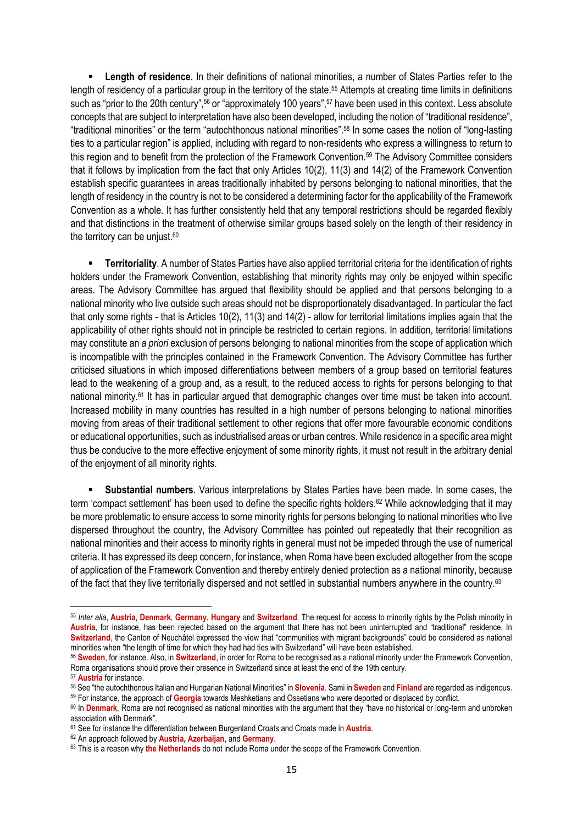**Length of residence**. In their definitions of national minorities, a number of States Parties refer to the length of residency of a particular group in the territory of the state.<sup>55</sup> Attempts at creating time limits in definitions such as "prior to the 20th century",<sup>56</sup> or "approximately 100 years",<sup>57</sup> have been used in this context. Less absolute concepts that are subject to interpretation have also been developed, including the notion of "traditional residence", "traditional minorities" or the term "autochthonous national minorities".<sup>58</sup> In some cases the notion of "long-lasting ties to a particular region" is applied, including with regard to non-residents who express a willingness to return to this region and to benefit from the protection of the Framework Convention.<sup>59</sup> The Advisory Committee considers that it follows by implication from the fact that only Articles 10(2), 11(3) and 14(2) of the Framework Convention establish specific guarantees in areas traditionally inhabited by persons belonging to national minorities, that the length of residency in the country is not to be considered a determining factor for the applicability of the Framework Convention as a whole. It has further consistently held that any temporal restrictions should be regarded flexibly and that distinctions in the treatment of otherwise similar groups based solely on the length of their residency in the territory can be unjust.<sup>60</sup>

 **Territoriality**. A number of States Parties have also applied territorial criteria for the identification of rights holders under the Framework Convention, establishing that minority rights may only be enjoyed within specific areas. The Advisory Committee has argued that flexibility should be applied and that persons belonging to a national minority who live outside such areas should not be disproportionately disadvantaged. In particular the fact that only some rights - that is Articles 10(2), 11(3) and 14(2) - allow for territorial limitations implies again that the applicability of other rights should not in principle be restricted to certain regions. In addition, territorial limitations may constitute an *a priori* exclusion of persons belonging to national minorities from the scope of application which is incompatible with the principles contained in the Framework Convention. The Advisory Committee has further criticised situations in which imposed differentiations between members of a group based on territorial features lead to the weakening of a group and, as a result, to the reduced access to rights for persons belonging to that national minority.<sup>61</sup> It has in particular argued that demographic changes over time must be taken into account. Increased mobility in many countries has resulted in a high number of persons belonging to national minorities moving from areas of their traditional settlement to other regions that offer more favourable economic conditions or educational opportunities, such as industrialised areas or urban centres. While residence in a specific area might thus be conducive to the more effective enjoyment of some minority rights, it must not result in the arbitrary denial of the enjoyment of all minority rights.

 **Substantial numbers**. Various interpretations by States Parties have been made. In some cases, the term 'compact settlement' has been used to define the specific rights holders.<sup>62</sup> While acknowledging that it may be more problematic to ensure access to some minority rights for persons belonging to national minorities who live dispersed throughout the country, the Advisory Committee has pointed out repeatedly that their recognition as national minorities and their access to minority rights in general must not be impeded through the use of numerical criteria. It has expressed its deep concern, for instance, when Roma have been excluded altogether from the scope of application of the Framework Convention and thereby entirely denied protection as a national minority, because of the fact that they live territorially dispersed and not settled in substantial numbers anywhere in the country.<sup>63</sup>

<sup>55</sup> *Inter alia*, **Austria**, **Denmark**, **Germany**, **Hungary** and **Switzerland**. The request for access to minority rights by the Polish minority in **Austria**, for instance, has been rejected based on the argument that there has not been uninterrupted and "traditional" residence. In **Switzerland**, the Canton of Neuchâtel expressed the view that "communities with migrant backgrounds" could be considered as national minorities when "the length of time for which they had had ties with Switzerland" will have been established.

<sup>56</sup> **Sweden**, for instance. Also, in **Switzerland**, in order for Roma to be recognised as a national minority under the Framework Convention, Roma organisations should prove their presence in Switzerland since at least the end of the 19th century.

<sup>57</sup> **Austria** for instance.

<sup>58</sup> See "the autochthonous Italian and Hungarian National Minorities" in **Slovenia**. Sami in **Sweden** and **Finland** are regarded as indigenous. <sup>59</sup> For instance, the approach of **Georgia** towards Meshketians and Ossetians who were deported or displaced by conflict.

<sup>60</sup> In **Denmark**, Roma are not recognised as national minorities with the argument that they "have no historical or long-term and unbroken association with Denmark".

<sup>61</sup> See for instance the differentiation between Burgenland Croats and Croats made in **Austria**.

<sup>62</sup> An approach followed by **Austria, Azerbaijan**, and **Germany**.

<sup>63</sup> This is a reason why **the Netherlands** do not include Roma under the scope of the Framework Convention.